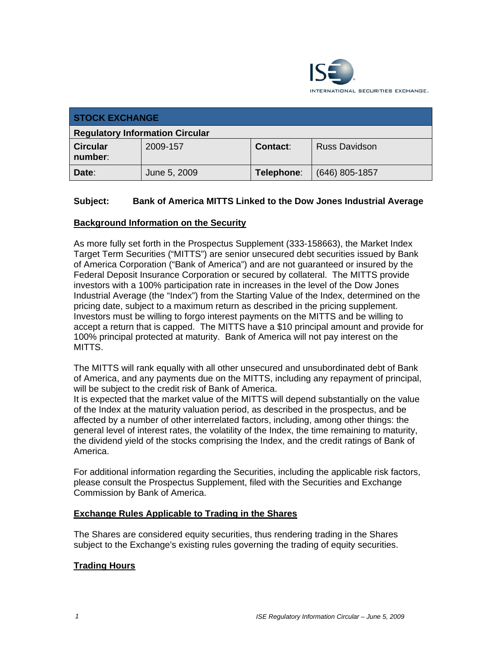

| <b>STOCK EXCHANGE</b>                  |              |            |                      |
|----------------------------------------|--------------|------------|----------------------|
| <b>Regulatory Information Circular</b> |              |            |                      |
| <b>Circular</b><br>number:             | 2009-157     | Contact:   | <b>Russ Davidson</b> |
| Date:                                  | June 5, 2009 | Telephone: | $(646)$ 805-1857     |

## **Subject: Bank of America MITTS Linked to the Dow Jones Industrial Average**

### **Background Information on the Security**

As more fully set forth in the Prospectus Supplement (333-158663), the Market Index Target Term Securities ("MITTS") are senior unsecured debt securities issued by Bank of America Corporation ("Bank of America") and are not guaranteed or insured by the Federal Deposit Insurance Corporation or secured by collateral. The MITTS provide investors with a 100% participation rate in increases in the level of the Dow Jones Industrial Average (the "Index") from the Starting Value of the Index, determined on the pricing date, subject to a maximum return as described in the pricing supplement. Investors must be willing to forgo interest payments on the MITTS and be willing to accept a return that is capped. The MITTS have a \$10 principal amount and provide for 100% principal protected at maturity. Bank of America will not pay interest on the MITTS.

The MITTS will rank equally with all other unsecured and unsubordinated debt of Bank of America, and any payments due on the MITTS, including any repayment of principal, will be subject to the credit risk of Bank of America.

It is expected that the market value of the MITTS will depend substantially on the value of the Index at the maturity valuation period, as described in the prospectus, and be affected by a number of other interrelated factors, including, among other things: the general level of interest rates, the volatility of the Index, the time remaining to maturity, the dividend yield of the stocks comprising the Index, and the credit ratings of Bank of America.

For additional information regarding the Securities, including the applicable risk factors, please consult the Prospectus Supplement, filed with the Securities and Exchange Commission by Bank of America.

### **Exchange Rules Applicable to Trading in the Shares**

The Shares are considered equity securities, thus rendering trading in the Shares subject to the Exchange's existing rules governing the trading of equity securities.

### **Trading Hours**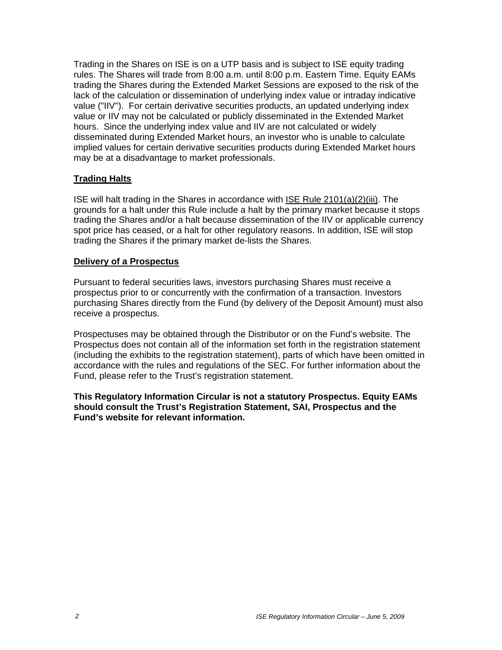Trading in the Shares on ISE is on a UTP basis and is subject to ISE equity trading rules. The Shares will trade from 8:00 a.m. until 8:00 p.m. Eastern Time. Equity EAMs trading the Shares during the Extended Market Sessions are exposed to the risk of the lack of the calculation or dissemination of underlying index value or intraday indicative value ("IIV"). For certain derivative securities products, an updated underlying index value or IIV may not be calculated or publicly disseminated in the Extended Market hours. Since the underlying index value and IIV are not calculated or widely disseminated during Extended Market hours, an investor who is unable to calculate implied values for certain derivative securities products during Extended Market hours may be at a disadvantage to market professionals.

### **Trading Halts**

ISE will halt trading in the Shares in accordance with ISE Rule 2101(a)(2)(iii). The grounds for a halt under this Rule include a halt by the primary market because it stops trading the Shares and/or a halt because dissemination of the IIV or applicable currency spot price has ceased, or a halt for other regulatory reasons. In addition, ISE will stop trading the Shares if the primary market de-lists the Shares.

#### **Delivery of a Prospectus**

Pursuant to federal securities laws, investors purchasing Shares must receive a prospectus prior to or concurrently with the confirmation of a transaction. Investors purchasing Shares directly from the Fund (by delivery of the Deposit Amount) must also receive a prospectus.

Prospectuses may be obtained through the Distributor or on the Fund's website. The Prospectus does not contain all of the information set forth in the registration statement (including the exhibits to the registration statement), parts of which have been omitted in accordance with the rules and regulations of the SEC. For further information about the Fund, please refer to the Trust's registration statement.

**This Regulatory Information Circular is not a statutory Prospectus. Equity EAMs should consult the Trust's Registration Statement, SAI, Prospectus and the Fund's website for relevant information.**